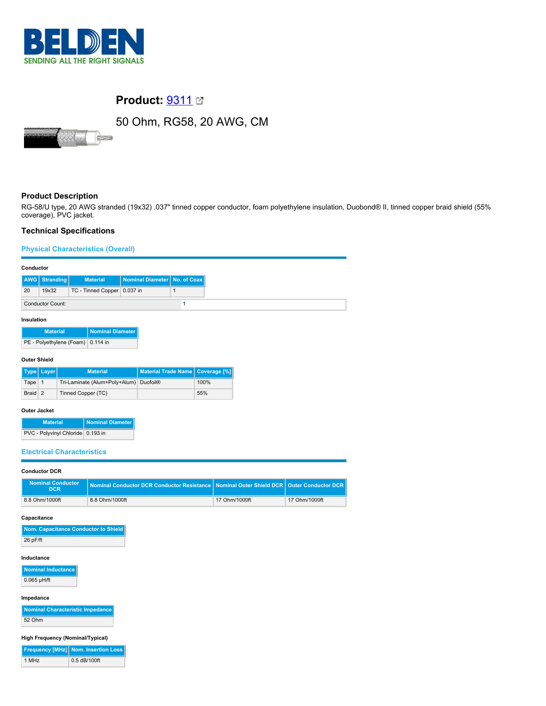

# **Product: [9311](https://catalog.belden.com/index.cfm?event=pd&p=PF_9311&tab=downloads) 2**

# 50 Ohm, RG58, 20 AWG, CM



## **Product Description**

RG-58/U type, 20 AWG stranded (19x32) .037" tinned copper conductor, foam polyethylene insulation, Duobond® II, tinned copper braid shield (55% coverage), PVC jacket.

## **Technical Specifications**

#### **Physical Characteristics (Overall)**

|    | <b>AWG</b> Stranding    | <b>Material</b>             | Nominal Diameter No. of Coax |  |
|----|-------------------------|-----------------------------|------------------------------|--|
| 20 | 19x32                   | TC - Tinned Copper 0.037 in |                              |  |
|    | <b>Conductor Count:</b> |                             |                              |  |

#### **Insulation**

| <b>Material</b>                   | Nominal Diameter |
|-----------------------------------|------------------|
| PE - Polyethylene (Foam) 0.114 in |                  |

#### **Outer Shield**

|         | Type   Layer | <b>Material</b>                        | Material Trade Name   Coverage [%] |      |
|---------|--------------|----------------------------------------|------------------------------------|------|
| Tape 1  |              | Tri-Laminate (Alum+Poly+Alum) Duofoil® |                                    | 100% |
| Braid 2 |              | Tinned Copper (TC)                     |                                    | 55%  |

#### **Outer Jacket**

| <b>Material</b>                   | Nominal Diameter |
|-----------------------------------|------------------|
| PVC - Polyvinyl Chloride 0.193 in |                  |

### **Electrical Characteristics**

### **Conductor DCR**

| <b>Nominal Conductor</b><br><b>DCR</b> | Nominal Conductor DCR Conductor Resistance   Nominal Outer Shield DCR   Outer Conductor DCR |               |               |
|----------------------------------------|---------------------------------------------------------------------------------------------|---------------|---------------|
| 8.8 Ohm/1000ft                         | 8.8 Ohm/1000ft                                                                              | 17 Ohm/1000ft | 17 Ohm/1000ft |

#### **Capacitance**

| Nom. Capacitance Conductor to Shield |
|--------------------------------------|
| $26$ pF/ft                           |

#### **Inductance**

**Nominal Inductance**  $0.065$  µH/ft

**Impedance**

| Nominal Characteristic Impedance |
|----------------------------------|
| 52 Ohm                           |

#### **High Frequency (Nominal/Typical)**

|       | <b>Frequency [MHz] Nom. Insertion Loss</b> |
|-------|--------------------------------------------|
| 1 MHz | 0.5 dB/100ft                               |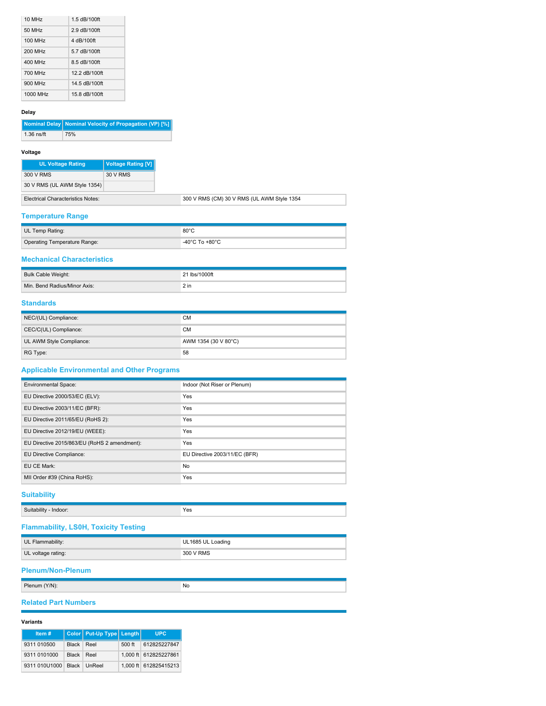| 10 MH <sub>z</sub> | 1.5 dB/100ft  |
|--------------------|---------------|
| 50 MHz             | 2.9 dB/100ft  |
| 100 MHz            | 4 dB/100ft    |
| 200 MHz            | 5.7 dB/100ft  |
| 400 MHz            | 8.5 dB/100ft  |
| 700 MHz            | 12 2 dB/100ft |
| 900 MHz            | 14.5 dB/100ft |
| 1000 MHz           | 15 8 dB/100ft |

## **Delay**

|              | Nominal Delay Nominal Velocity of Propagation (VP) [%] |
|--------------|--------------------------------------------------------|
| $1.36$ ns/ft | 75%                                                    |

#### **Voltage**

| <b>UL Voltage Rating</b>                 | <b>Voltage Rating [V]</b> |
|------------------------------------------|---------------------------|
| 300 V RMS                                | 30 V RMS                  |
| 30 V RMS (UL AWM Style 1354)             |                           |
| <b>Electrical Characteristics Notes:</b> |                           |

## **Temperature Range**

| UL Temp Rating:              | $80^{\circ}$ C                     |
|------------------------------|------------------------------------|
| Operating Temperature Range: | $-40^{\circ}$ C To $+80^{\circ}$ C |

## **Mechanical Characteristics**

| Bulk Cable Weight:           | 21 lbs/1000ft |
|------------------------------|---------------|
| Min. Bend Radius/Minor Axis: |               |

## **Standards**

| NEC/(UL) Compliance:     | <b>CM</b>            |
|--------------------------|----------------------|
| CEC/C(UL) Compliance:    | <b>CM</b>            |
| UL AWM Style Compliance: | AWM 1354 (30 V 80°C) |
| RG Type:                 | 58                   |

## **Applicable Environmental and Other Programs**

| <b>Environmental Space:</b>                  | Indoor (Not Riser or Plenum)  |
|----------------------------------------------|-------------------------------|
| EU Directive 2000/53/EC (ELV):               | Yes                           |
| EU Directive 2003/11/EC (BFR):               | Yes                           |
| EU Directive 2011/65/EU (RoHS 2):            | Yes                           |
| EU Directive 2012/19/EU (WEEE):              | Yes                           |
| EU Directive 2015/863/EU (RoHS 2 amendment): | Yes                           |
| EU Directive Compliance:                     | EU Directive 2003/11/EC (BFR) |
| EU CE Mark:                                  | No                            |
| MII Order #39 (China RoHS):                  | Yes                           |

## **Suitability**

| $\sim$<br><br>.<br>Indoor:<br>Suitabilit | Yes |
|------------------------------------------|-----|

## **Flammability, LS0H, Toxicity Testing**

| UL Flammability:   | UL1685 UL Loading |
|--------------------|-------------------|
| UL voltage rating: | 300 V RMS         |

## **Plenum/Non-Plenum**

|  | DI.<br>7 I V<br>$\sim$ 1.000 $\sim$ | NK<br>NU. |
|--|-------------------------------------|-----------|
|--|-------------------------------------|-----------|

## **Related Part Numbers**

### **Variants**

| Item#                      |            | Color   Put-Up Type   Length |        | <b>UPC</b>            |
|----------------------------|------------|------------------------------|--------|-----------------------|
| 9311 010500                | Black Reel |                              | 500 ft | 612825227847          |
| 9311 0101000               | Black Reel |                              |        | 1,000 ft 612825227861 |
| 9311 010U1000 Black UnReel |            |                              |        | 1.000 ft 612825415213 |